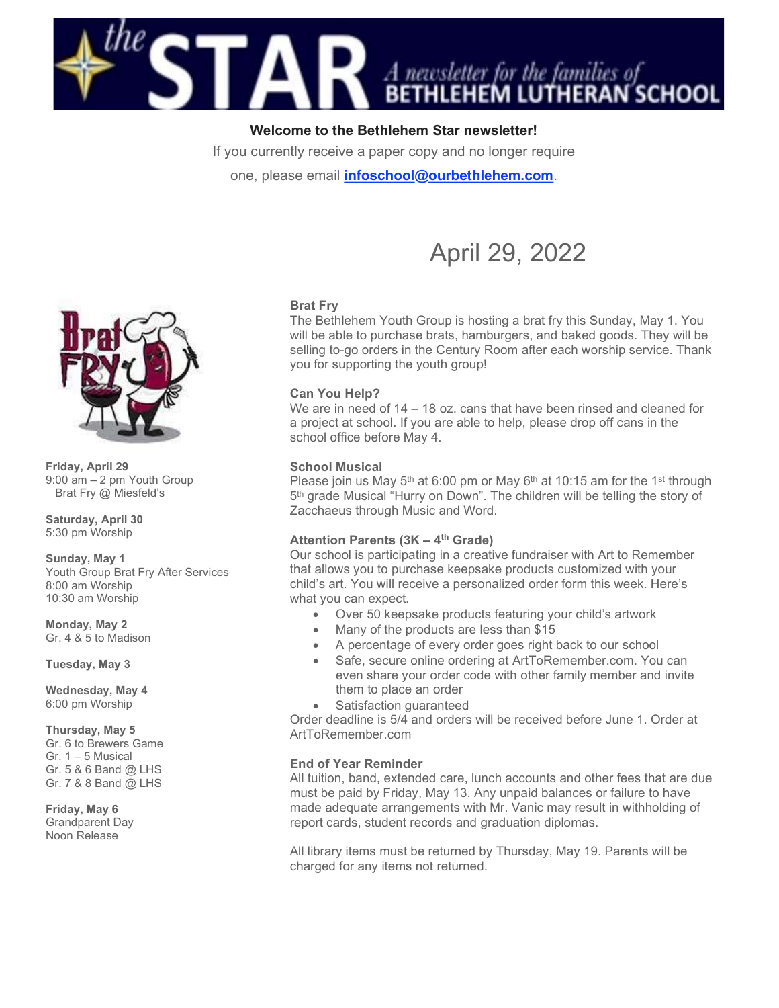

# Welcome to the Bethlehem Star newsletter!

If you currently receive a paper copy and no longer require

one, please email *infoschool@ourbethlehem.com.* 



# Brat Fry

The Bethlehem Youth Group is hosting a brat fry this Sunday, May 1. You will be able to purchase brats, hamburgers, and baked goods. They will be selling to-go orders in the Century Room after each worship service. Thank you for supporting the youth group!

# Can You Help?

We are in need of 14 – 18 oz. cans that have been rinsed and cleaned for a project at school. If you are able to help, please drop off cans in the school office before May 4.

# School Musical

Please join us May  $5<sup>th</sup>$  at 6:00 pm or May  $6<sup>th</sup>$  at 10:15 am for the 1<sup>st</sup> through 5<sup>th</sup> grade Musical "Hurry on Down". The children will be telling the story of Zacchaeus through Music and Word.

# Attention Parents  $(3K - 4<sup>th</sup>$  Grade)

Our school is participating in a creative fundraiser with Art to Remember that allows you to purchase keepsake products customized with your child's art. You will receive a personalized order form this week. Here's what you can expect.

- Over 50 keepsake products featuring your child's artwork
- Many of the products are less than \$15
- A percentage of every order goes right back to our school
- Safe, secure online ordering at ArtToRemember.com. You can even share your order code with other family member and invite them to place an order
- Satisfaction guaranteed

Order deadline is 5/4 and orders will be received before June 1. Order at ArtToRemember.com

#### End of Year Reminder

All tuition, band, extended care, lunch accounts and other fees that are due must be paid by Friday, May 13. Any unpaid balances or failure to have made adequate arrangements with Mr. Vanic may result in withholding of report cards, student records and graduation diplomas.

All library items must be returned by Thursday, May 19. Parents will be charged for any items not returned.



Friday, April 29 9:00 am – 2 pm Youth Group Brat Fry @ Miesfeld's

Saturday, April 30 5:30 pm Worship

Sunday, May 1 Youth Group Brat Fry After Services

8:00 am Worship 10:30 am Worship

Monday, May 2 Gr. 4 & 5 to Madison

Tuesday, May 3

Wednesday, May 4 6:00 pm Worship

Thursday, May 5 Gr. 6 to Brewers Game Gr. 1 – 5 Musical Gr. 5 & 6 Band @ LHS Gr. 7 & 8 Band @ LHS

Friday, May 6 Grandparent Day Noon Release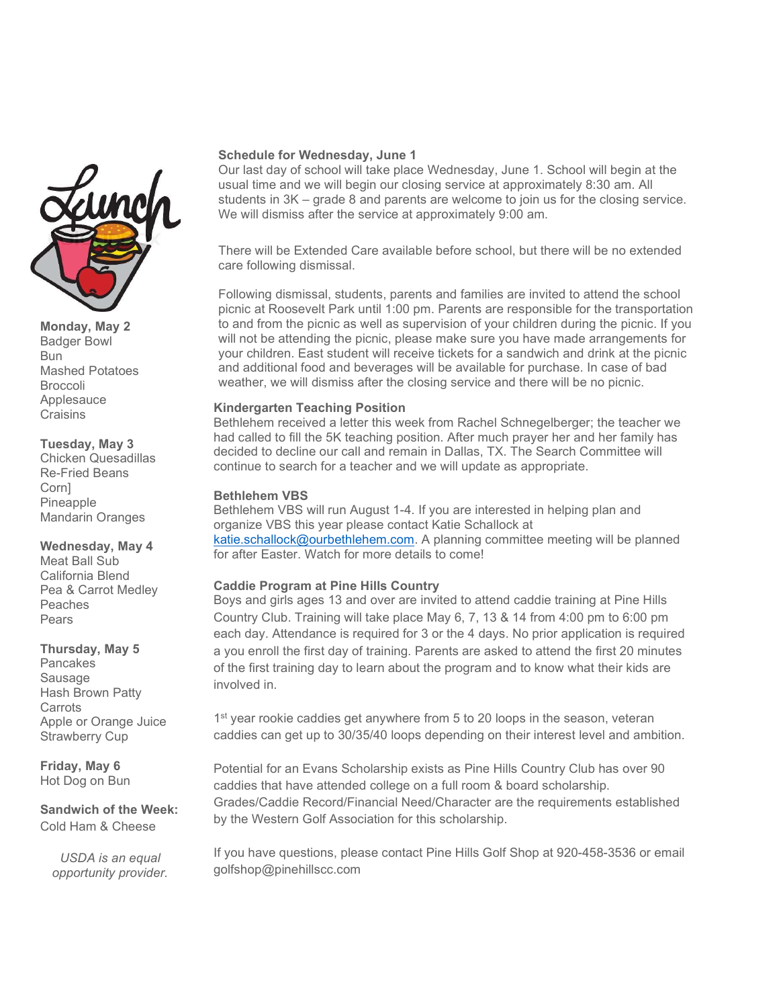

Monday, May 2 Badger Bowl Bun Mashed Potatoes Broccoli Applesauce Craisins

#### Tuesday, May 3

Chicken Quesadillas Re-Fried Beans Corn] Pineapple Mandarin Oranges

# Wednesday, May 4

Meat Ball Sub California Blend Pea & Carrot Medley Peaches Pears

#### Thursday, May 5

**Pancakes** Sausage Hash Brown Patty **Carrots** Apple or Orange Juice Strawberry Cup

Friday, May 6 Hot Dog on Bun

#### Sandwich of the Week: Cold Ham & Cheese

USDA is an equal opportunity provider.

#### Schedule for Wednesday, June 1

Our last day of school will take place Wednesday, June 1. School will begin at the usual time and we will begin our closing service at approximately 8:30 am. All students in 3K – grade 8 and parents are welcome to join us for the closing service. We will dismiss after the service at approximately 9:00 am.

There will be Extended Care available before school, but there will be no extended care following dismissal.

Following dismissal, students, parents and families are invited to attend the school picnic at Roosevelt Park until 1:00 pm. Parents are responsible for the transportation to and from the picnic as well as supervision of your children during the picnic. If you will not be attending the picnic, please make sure you have made arrangements for your children. East student will receive tickets for a sandwich and drink at the picnic and additional food and beverages will be available for purchase. In case of bad weather, we will dismiss after the closing service and there will be no picnic.

#### Kindergarten Teaching Position

Bethlehem received a letter this week from Rachel Schnegelberger; the teacher we had called to fill the 5K teaching position. After much prayer her and her family has decided to decline our call and remain in Dallas, TX. The Search Committee will continue to search for a teacher and we will update as appropriate.

#### Bethlehem VBS

Bethlehem VBS will run August 1-4. If you are interested in helping plan and organize VBS this year please contact Katie Schallock at katie.schallock@ourbethlehem.com. A planning committee meeting will be planned for after Easter. Watch for more details to come!

#### Caddie Program at Pine Hills Country

Boys and girls ages 13 and over are invited to attend caddie training at Pine Hills Country Club. Training will take place May 6, 7, 13 & 14 from 4:00 pm to 6:00 pm each day. Attendance is required for 3 or the 4 days. No prior application is required a you enroll the first day of training. Parents are asked to attend the first 20 minutes of the first training day to learn about the program and to know what their kids are involved in.

1<sup>st</sup> year rookie caddies get anywhere from 5 to 20 loops in the season, veteran caddies can get up to 30/35/40 loops depending on their interest level and ambition.

Potential for an Evans Scholarship exists as Pine Hills Country Club has over 90 caddies that have attended college on a full room & board scholarship. Grades/Caddie Record/Financial Need/Character are the requirements established by the Western Golf Association for this scholarship.

If you have questions, please contact Pine Hills Golf Shop at 920-458-3536 or email golfshop@pinehillscc.com